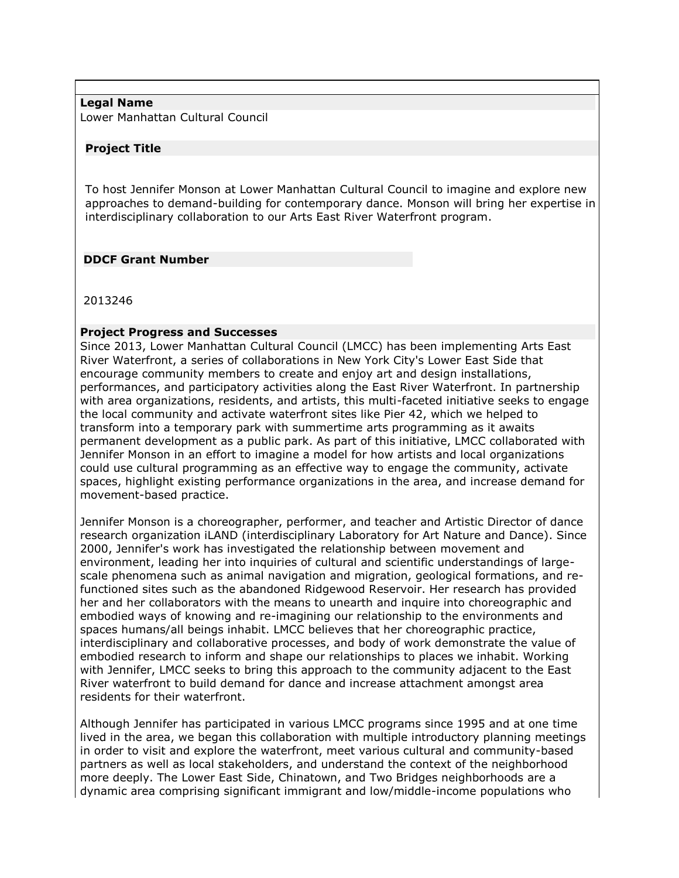### **Legal Name**

Lower Manhattan Cultural Council

#### **Project Title**

To host Jennifer Monson at Lower Manhattan Cultural Council to imagine and explore new approaches to demand-building for contemporary dance. Monson will bring her expertise in interdisciplinary collaboration to our Arts East River Waterfront program.

#### **DDCF Grant Number**

2013246

### **Project Progress and Successes**

Since 2013, Lower Manhattan Cultural Council (LMCC) has been implementing Arts East River Waterfront, a series of collaborations in New York City's Lower East Side that encourage community members to create and enjoy art and design installations, performances, and participatory activities along the East River Waterfront. In partnership with area organizations, residents, and artists, this multi-faceted initiative seeks to engage the local community and activate waterfront sites like Pier 42, which we helped to transform into a temporary park with summertime arts programming as it awaits permanent development as a public park. As part of this initiative, LMCC collaborated with Jennifer Monson in an effort to imagine a model for how artists and local organizations could use cultural programming as an effective way to engage the community, activate spaces, highlight existing performance organizations in the area, and increase demand for movement-based practice.

Jennifer Monson is a choreographer, performer, and teacher and Artistic Director of dance research organization iLAND (interdisciplinary Laboratory for Art Nature and Dance). Since 2000, Jennifer's work has investigated the relationship between movement and environment, leading her into inquiries of cultural and scientific understandings of largescale phenomena such as animal navigation and migration, geological formations, and refunctioned sites such as the abandoned Ridgewood Reservoir. Her research has provided her and her collaborators with the means to unearth and inquire into choreographic and embodied ways of knowing and re-imagining our relationship to the environments and spaces humans/all beings inhabit. LMCC believes that her choreographic practice, interdisciplinary and collaborative processes, and body of work demonstrate the value of embodied research to inform and shape our relationships to places we inhabit. Working with Jennifer, LMCC seeks to bring this approach to the community adjacent to the East River waterfront to build demand for dance and increase attachment amongst area residents for their waterfront.

Although Jennifer has participated in various LMCC programs since 1995 and at one time lived in the area, we began this collaboration with multiple introductory planning meetings in order to visit and explore the waterfront, meet various cultural and community-based partners as well as local stakeholders, and understand the context of the neighborhood more deeply. The Lower East Side, Chinatown, and Two Bridges neighborhoods are a dynamic area comprising significant immigrant and low/middle-income populations who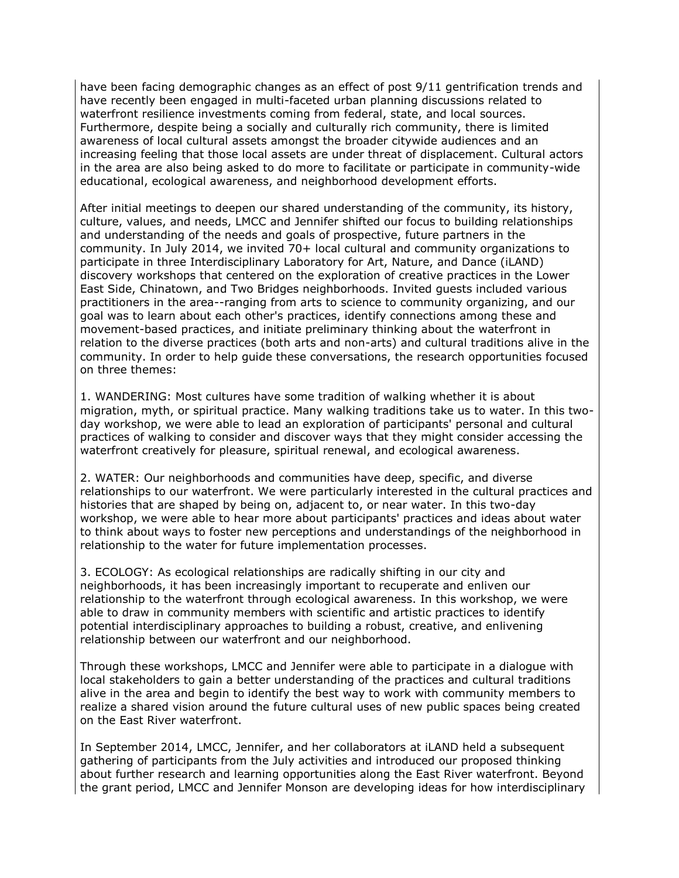have been facing demographic changes as an effect of post 9/11 gentrification trends and have recently been engaged in multi-faceted urban planning discussions related to waterfront resilience investments coming from federal, state, and local sources. Furthermore, despite being a socially and culturally rich community, there is limited awareness of local cultural assets amongst the broader citywide audiences and an increasing feeling that those local assets are under threat of displacement. Cultural actors in the area are also being asked to do more to facilitate or participate in community-wide educational, ecological awareness, and neighborhood development efforts.

After initial meetings to deepen our shared understanding of the community, its history, culture, values, and needs, LMCC and Jennifer shifted our focus to building relationships and understanding of the needs and goals of prospective, future partners in the community. In July 2014, we invited 70+ local cultural and community organizations to participate in three Interdisciplinary Laboratory for Art, Nature, and Dance (iLAND) discovery workshops that centered on the exploration of creative practices in the Lower East Side, Chinatown, and Two Bridges neighborhoods. Invited guests included various practitioners in the area--ranging from arts to science to community organizing, and our goal was to learn about each other's practices, identify connections among these and movement-based practices, and initiate preliminary thinking about the waterfront in relation to the diverse practices (both arts and non-arts) and cultural traditions alive in the community. In order to help guide these conversations, the research opportunities focused on three themes:

1. WANDERING: Most cultures have some tradition of walking whether it is about migration, myth, or spiritual practice. Many walking traditions take us to water. In this twoday workshop, we were able to lead an exploration of participants' personal and cultural practices of walking to consider and discover ways that they might consider accessing the waterfront creatively for pleasure, spiritual renewal, and ecological awareness.

2. WATER: Our neighborhoods and communities have deep, specific, and diverse relationships to our waterfront. We were particularly interested in the cultural practices and histories that are shaped by being on, adjacent to, or near water. In this two-day workshop, we were able to hear more about participants' practices and ideas about water to think about ways to foster new perceptions and understandings of the neighborhood in relationship to the water for future implementation processes.

3. ECOLOGY: As ecological relationships are radically shifting in our city and neighborhoods, it has been increasingly important to recuperate and enliven our relationship to the waterfront through ecological awareness. In this workshop, we were able to draw in community members with scientific and artistic practices to identify potential interdisciplinary approaches to building a robust, creative, and enlivening relationship between our waterfront and our neighborhood.

Through these workshops, LMCC and Jennifer were able to participate in a dialogue with local stakeholders to gain a better understanding of the practices and cultural traditions alive in the area and begin to identify the best way to work with community members to realize a shared vision around the future cultural uses of new public spaces being created on the East River waterfront.

In September 2014, LMCC, Jennifer, and her collaborators at iLAND held a subsequent gathering of participants from the July activities and introduced our proposed thinking about further research and learning opportunities along the East River waterfront. Beyond the grant period, LMCC and Jennifer Monson are developing ideas for how interdisciplinary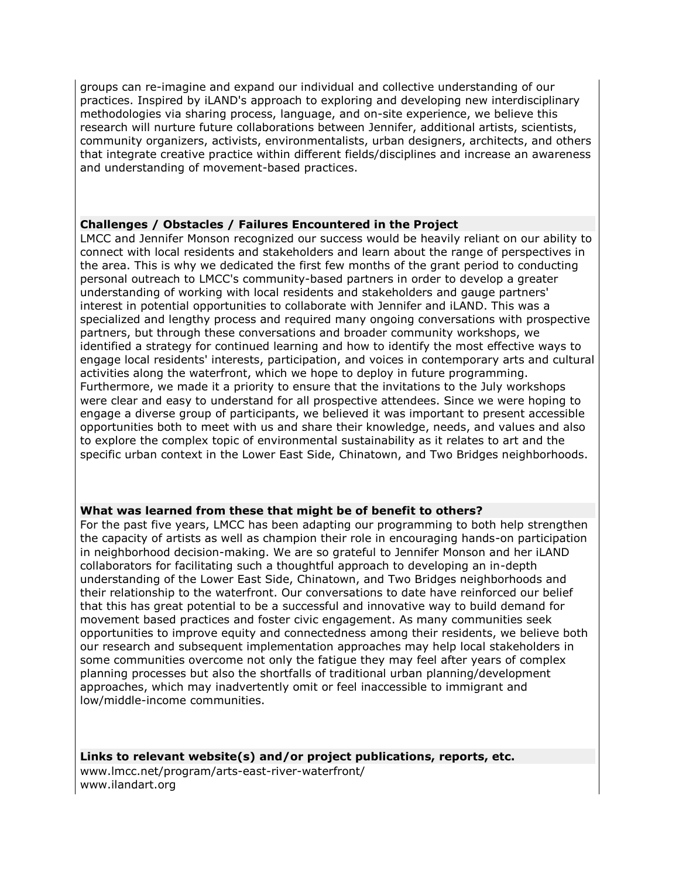groups can re-imagine and expand our individual and collective understanding of our practices. Inspired by iLAND's approach to exploring and developing new interdisciplinary methodologies via sharing process, language, and on-site experience, we believe this research will nurture future collaborations between Jennifer, additional artists, scientists, community organizers, activists, environmentalists, urban designers, architects, and others that integrate creative practice within different fields/disciplines and increase an awareness and understanding of movement-based practices.

### **Challenges / Obstacles / Failures Encountered in the Project**

LMCC and Jennifer Monson recognized our success would be heavily reliant on our ability to connect with local residents and stakeholders and learn about the range of perspectives in the area. This is why we dedicated the first few months of the grant period to conducting personal outreach to LMCC's community-based partners in order to develop a greater understanding of working with local residents and stakeholders and gauge partners' interest in potential opportunities to collaborate with Jennifer and iLAND. This was a specialized and lengthy process and required many ongoing conversations with prospective partners, but through these conversations and broader community workshops, we identified a strategy for continued learning and how to identify the most effective ways to engage local residents' interests, participation, and voices in contemporary arts and cultural activities along the waterfront, which we hope to deploy in future programming. Furthermore, we made it a priority to ensure that the invitations to the July workshops were clear and easy to understand for all prospective attendees. Since we were hoping to engage a diverse group of participants, we believed it was important to present accessible opportunities both to meet with us and share their knowledge, needs, and values and also to explore the complex topic of environmental sustainability as it relates to art and the specific urban context in the Lower East Side, Chinatown, and Two Bridges neighborhoods.

# **What was learned from these that might be of benefit to others?**

For the past five years, LMCC has been adapting our programming to both help strengthen the capacity of artists as well as champion their role in encouraging hands-on participation in neighborhood decision-making. We are so grateful to Jennifer Monson and her iLAND collaborators for facilitating such a thoughtful approach to developing an in-depth understanding of the Lower East Side, Chinatown, and Two Bridges neighborhoods and their relationship to the waterfront. Our conversations to date have reinforced our belief that this has great potential to be a successful and innovative way to build demand for movement based practices and foster civic engagement. As many communities seek opportunities to improve equity and connectedness among their residents, we believe both our research and subsequent implementation approaches may help local stakeholders in some communities overcome not only the fatigue they may feel after years of complex planning processes but also the shortfalls of traditional urban planning/development approaches, which may inadvertently omit or feel inaccessible to immigrant and low/middle-income communities.

**Links to relevant website(s) and/or project publications, reports, etc.** www.lmcc.net/program/arts-east-river-waterfront/ www.ilandart.org